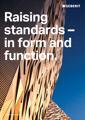

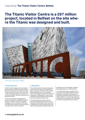# Case Study: **The Titanic Visitor Centre, Belfast.**

# **The Titanic Visitor Centre is a £97 million project, located in Belfast on the site where the Titanic was designed and built.**



#### ↑ The Titanic Visitor Centre in Belfast.

#### **→ Project Overview:**

Northern Ireland's biggest and most popular tourist attraction, the Centre boasts six floors featuring nine galleries that explore the sights, sounds, smells and stories of the Titanic, plus a 1,000-seat banqueting suite, education and community facilities, catering, retail space and basement car park.

Constructed using ground-breaking techniques, the building has a BREEAM 'Excellent' rating and includes a range of sustainable strategies, such as tri-generation CHP plant and a 56,000 litre rainwater harvesting system - with pipe-work courtesy of Geberit.

#### **→ Why Geberit**

The architecturally stunning roof, designed to mimic the bow of a boat, is 10 degree monopitch construction with walk-in secret gutters, falling tangentially at 5.2 and 5.6 degrees. Dams were designed across the two, 60 metre long gutters, enabling water to collect about the siphonic outlet of Geberit's Pluvia system, before cascading into the next dam.

"Conventional gravity outlets would not have been feasible with the volume of water collected and channelled into the 'flumes' and a traditional weir overflow couldn't be formed without interrupting the facade geometry and

spoiling the form of the building," explained Angus Waddington from Todd Architects.

"To combat these issues, an additional overflow system was installed. Geberit rose to the challenge of solving these potential issues and seemed to relish the opportunity to do something 'different'. They were fully supportive, providing technical assistance and calculations to review the unusual performance criteria."